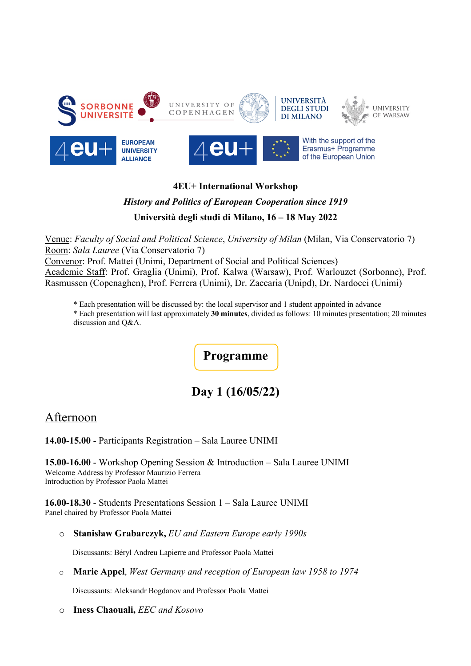

#### **4EU+ International Workshop**

## *History and Politics of European Cooperation since 1919* **Università degli studi di Milano, 16 – 18 May 2022**

Venue: *Faculty of Social and Political Science*, *University of Milan* (Milan, Via Conservatorio 7) Room: *Sala Lauree* (Via Conservatorio 7)

Convenor: Prof. Mattei (Unimi, Department of Social and Political Sciences) Academic Staff: Prof. Graglia (Unimi), Prof. Kalwa (Warsaw), Prof. Warlouzet (Sorbonne), Prof. Rasmussen (Copenaghen), Prof. Ferrera (Unimi), Dr. Zaccaria (Unipd), Dr. Nardocci (Unimi)

\* Each presentation will be discussed by: the local supervisor and 1 student appointed in advance

\* Each presentation will last approximately **30 minutes**, divided as follows: 10 minutes presentation; 20 minutes discussion and Q&A.

**Programme**

## **Day 1 (16/05/22)**

### Afternoon

**14.00-15.00** - Participants Registration – Sala Lauree UNIMI

**15.00-16.00** - Workshop Opening Session & Introduction – Sala Lauree UNIMI Welcome Address by Professor Maurizio Ferrera Introduction by Professor Paola Mattei

**16.00-18.30** - Students Presentations Session 1 – Sala Lauree UNIMI Panel chaired by Professor Paola Mattei

o **Stanisław Grabarczyk,** *EU and Eastern Europe early 1990s* 

Discussants: Béryl Andreu Lapierre and Professor Paola Mattei

o **Marie Appel**, *West Germany and reception of European law 1958 to 1974*

Discussants: Aleksandr Bogdanov and Professor Paola Mattei

o **Iness Chaouali,** *EEC and Kosovo*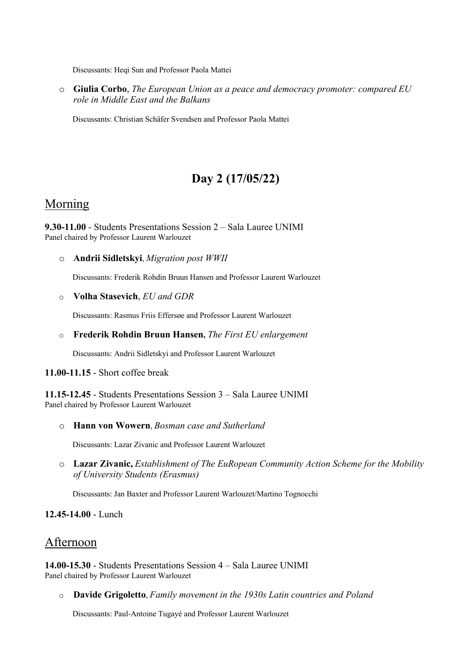Discussants: Heqi Sun and Professor Paola Mattei

o **Giulia Corbo**, *The European Union as a peace and democracy promoter: compared EU role in Middle East and the Balkans*

Discussants: Christian Schäfer Svendsen and Professor Paola Mattei

# **Day 2 (17/05/22)**

#### Morning

**9.30-11.00** - Students Presentations Session 2 – Sala Lauree UNIMI Panel chaired by Professor Laurent Warlouzet

o **Andrii Sidletskyi**, *Migration post WWII*

Discussants: Frederik Rohdin Bruun Hansen and Professor Laurent Warlouzet

o **Volha Stasevich**, *EU and GDR*

Discussants: Rasmus Friis Effersøe and Professor Laurent Warlouzet

o **Frederik Rohdin Bruun Hansen,** *The First EU enlargement*

Discussants: Andrii Sidletskyi and Professor Laurent Warlouzet

#### **11.00-11.15** - Short coffee break

**11.15-12.45** - Students Presentations Session 3 – Sala Lauree UNIMI Panel chaired by Professor Laurent Warlouzet

o **Hann von Wowern**, *Bosman case and Sutherland*

Discussants: Lazar Zivanic and Professor Laurent Warlouzet

o **Lazar Zivanic,** *Establishment of The EuRopean Community Action Scheme for the Mobility of University Students (Erasmus)*

Discussants: Jan Baxter and Professor Laurent Warlouzet/Martino Tognocchi

**12.45-14.00** - Lunch

### Afternoon

**14.00-15.30** - Students Presentations Session 4 – Sala Lauree UNIMI Panel chaired by Professor Laurent Warlouzet

o **Davide Grigoletto**, *Family movement in the 1930s Latin countries and Poland*

Discussants: Paul-Antoine Tugayé and Professor Laurent Warlouzet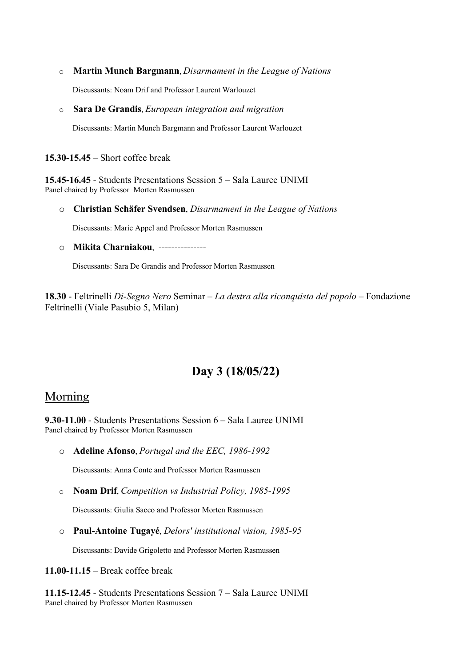o **Martin Munch Bargmann**, *Disarmament in the League of Nations*

Discussants: Noam Drif and Professor Laurent Warlouzet

o **Sara De Grandis**, *European integration and migration* 

Discussants: Martin Munch Bargmann and Professor Laurent Warlouzet

**15.30-15.45** – Short coffee break

**15.45-16.45** - Students Presentations Session 5 – Sala Lauree UNIMI Panel chaired by Professor Morten Rasmussen

o **Christian Schäfer Svendsen**, *Disarmament in the League of Nations*

Discussants: Marie Appel and Professor Morten Rasmussen

<sup>o</sup> **Mikita Charniakou**, *---------------*

Discussants: Sara De Grandis and Professor Morten Rasmussen

**18.30** - Feltrinelli *Di-Segno Nero* Seminar – *La destra alla riconquista del popolo* – Fondazione Feltrinelli (Viale Pasubio 5, Milan)

## **Day 3 (18/05/22)**

## Morning

**9.30-11.00** - Students Presentations Session 6 – Sala Lauree UNIMI Panel chaired by Professor Morten Rasmussen

o **Adeline Afonso**, *Portugal and the EEC, 1986-1992*

Discussants: Anna Conte and Professor Morten Rasmussen

o **Noam Drif**, *Competition vs Industrial Policy, 1985-1995*

Discussants: Giulia Sacco and Professor Morten Rasmussen

o **Paul-Antoine Tugayé**, *Delors' institutional vision, 1985-95*

Discussants: Davide Grigoletto and Professor Morten Rasmussen

**11.00-11.15** – Break coffee break

**11.15-12.45** - Students Presentations Session 7 – Sala Lauree UNIMI Panel chaired by Professor Morten Rasmussen